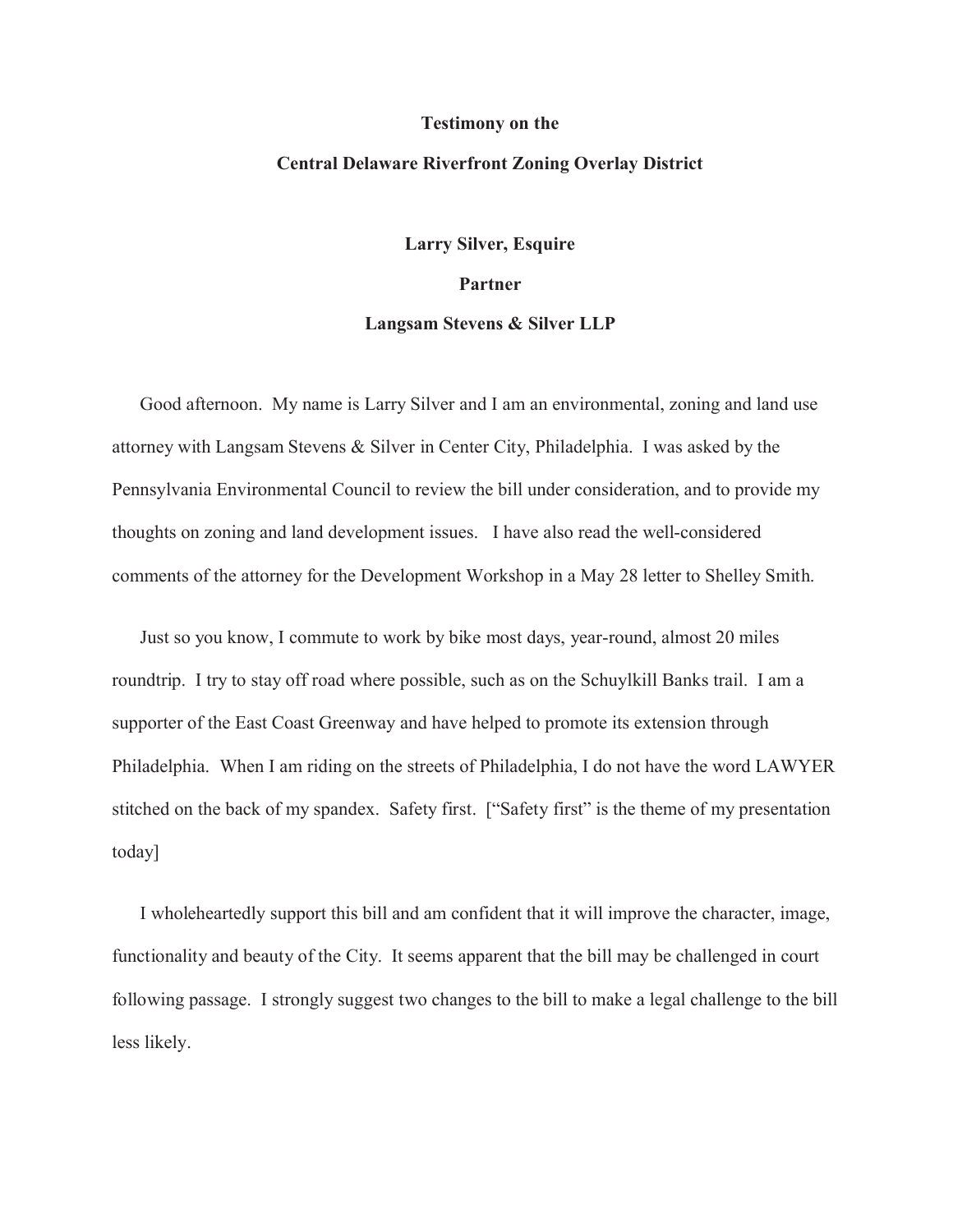## **Testimony on the**

## **Central Delaware Riverfront Zoning Overlay District**

**Larry Silver, Esquire**

## **Partner**

## **Langsam Stevens & Silver LLP**

Good afternoon. My name is Larry Silver and I am an environmental, zoning and land use attorney with Langsam Stevens & Silver in Center City, Philadelphia. I was asked by the Pennsylvania Environmental Council to review the bill under consideration, and to provide my thoughts on zoning and land development issues. I have also read the well-considered comments of the attorney for the Development Workshop in a May 28 letter to Shelley Smith.

Just so you know, I commute to work by bike most days, year-round, almost 20 miles roundtrip. I try to stay off road where possible, such as on the Schuylkill Banks trail. I am a supporter of the East Coast Greenway and have helped to promote its extension through Philadelphia. When I am riding on the streets of Philadelphia, I do not have the word LAWYER stitched on the back of my spandex. Safety first. ["Safety first" is the theme of my presentation today]

I wholeheartedly support this bill and am confident that it will improve the character, image, functionality and beauty of the City. It seems apparent that the bill may be challenged in court following passage. I strongly suggest two changes to the bill to make a legal challenge to the bill less likely.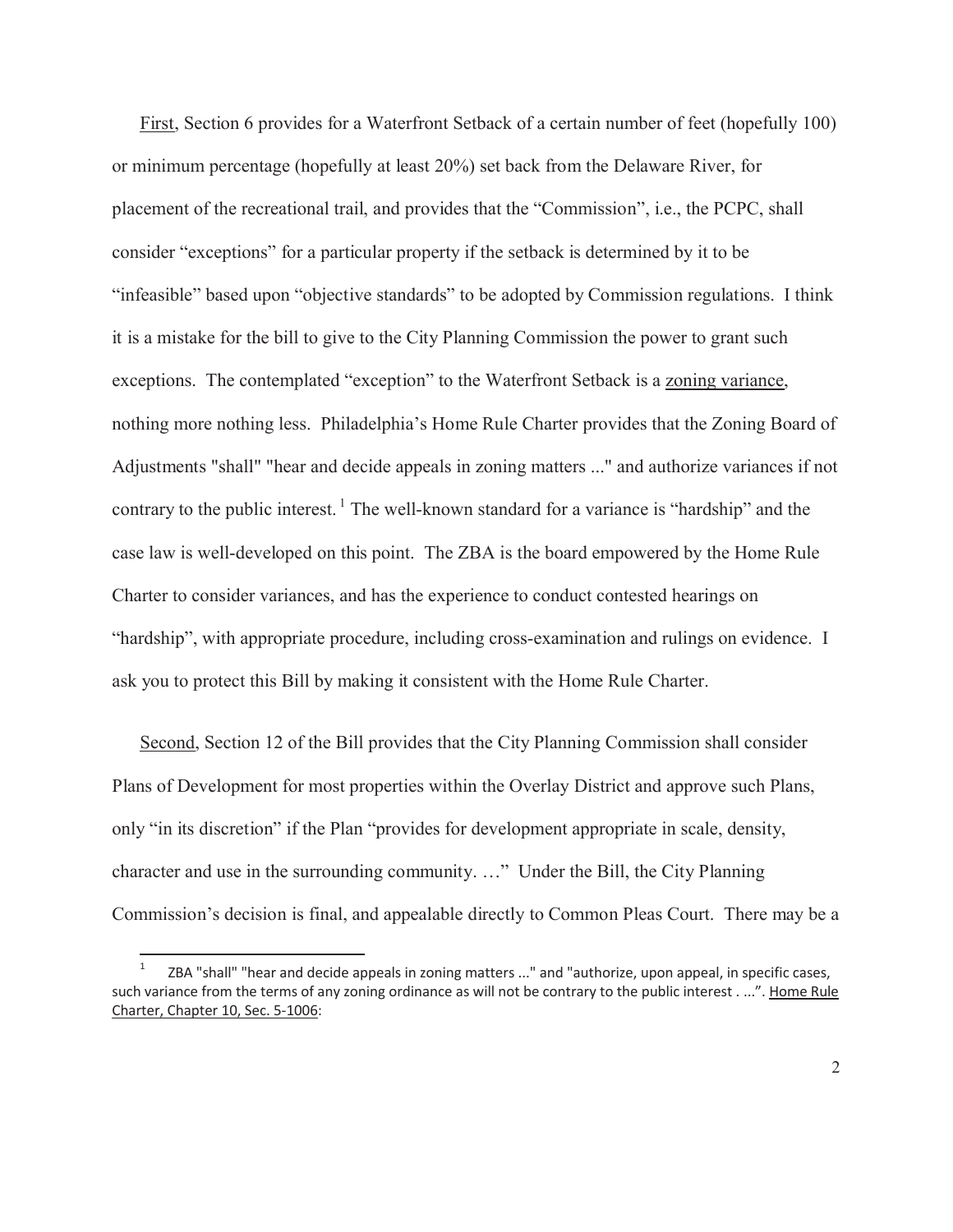First, Section 6 provides for a Waterfront Setback of a certain number of feet (hopefully 100) or minimum percentage (hopefully at least 20%) set back from the Delaware River, for placement of the recreational trail, and provides that the "Commission", i.e., the PCPC, shall consider "exceptions" for a particular property if the setback is determined by it to be "infeasible" based upon "objective standards" to be adopted by Commission regulations. I think it is a mistake for the bill to give to the City Planning Commission the power to grant such exceptions. The contemplated "exception" to the Waterfront Setback is a zoning variance, nothing more nothing less. Philadelphia's Home Rule Charter provides that the Zoning Board of Adjustments "shall" "hear and decide appeals in zoning matters ..." and authorize variances if not contrary to the public interest.<sup>1</sup> The well-known standard for a variance is "hardship" and the case law is well-developed on this point. The ZBA is the board empowered by the Home Rule Charter to consider variances, and has the experience to conduct contested hearings on "hardship", with appropriate procedure, including cross-examination and rulings on evidence. I ask you to protect this Bill by making it consistent with the Home Rule Charter.

Second, Section 12 of the Bill provides that the City Planning Commission shall consider Plans of Development for most properties within the Overlay District and approve such Plans, only "in its discretion" if the Plan "provides for development appropriate in scale, density, character and use in the surrounding community. …" Under the Bill, the City Planning Commission's decision is final, and appealable directly to Common Pleas Court. There may be a

 $\overline{a}$ 

<sup>1</sup> ZBA "shall" "hear and decide appeals in zoning matters ..." and "authorize, upon appeal, in specific cases, such variance from the terms of any zoning ordinance as will not be contrary to the public interest . ...". Home Rule Charter, Chapter 10, Sec. 5-1006: